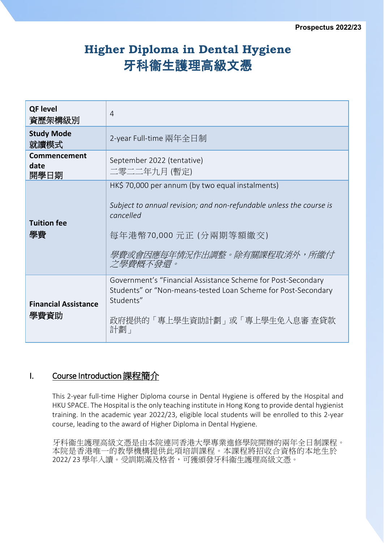# **Higher Diploma in Dental Hygiene** 牙科衞生護理高級文憑

| <b>QF level</b><br>資歷架構級別           | 4                                                                                                                                                                                                        |
|-------------------------------------|----------------------------------------------------------------------------------------------------------------------------------------------------------------------------------------------------------|
| <b>Study Mode</b><br>就讀模式           | 2-year Full-time 兩年全日制                                                                                                                                                                                   |
| Commencement<br>date<br>開學日期        | September 2022 (tentative)<br>二零二二年九月 (暫定)                                                                                                                                                               |
| <b>Tuition fee</b><br>學費            | HK\$ 70,000 per annum (by two equal instalments)<br>Subject to annual revision; and non-refundable unless the course is<br>cancelled<br>每年港幣70,000元正(分兩期等額繳交)<br>學費或會因應每年情況作出調整。除有關課程取消外,所繳付<br>之學費概不發還。 |
| <b>Financial Assistance</b><br>學費資助 | Government's "Financial Assistance Scheme for Post-Secondary<br>Students" or "Non-means-tested Loan Scheme for Post-Secondary<br>Students"<br>政府提供的「專上學生資助計劃」或「專上學生免入息審 查貸款<br>計劃」                       |

# I. Course Introduction 課程簡介

This 2-year full-time Higher Diploma course in Dental Hygiene is offered by the Hospital and HKU SPACE. The Hospital is the only teaching institute in Hong Kong to provide dental hygienist training. In the academic year 2022/23, eligible local students will be enrolled to this 2-year course, leading to the award of Higher Diploma in Dental Hygiene.

牙科衞生護理高級文憑是由本院連同香港大學專業進修學院開辦的兩年全日制課程。 本院是香港唯一的教學機構提供此項培訓課程。本課程將招收合資格的本地生於 2022/ 23 學年入讀。受訓期滿及格者,可獲頒發牙科衞生護理高級文憑。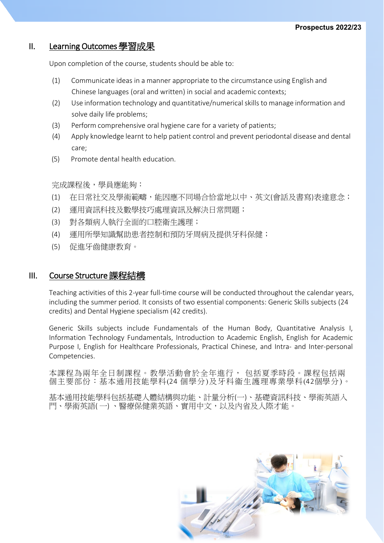## II. Learning Outcomes 學習成果

Upon completion of the course, students should be able to:

- (1) Communicate ideas in a manner appropriate to the circumstance using English and Chinese languages (oral and written) in social and academic contexts;
- (2) Use information technology and quantitative/numerical skillsto manage information and solve daily life problems;
- (3) Perform comprehensive oral hygiene care for a variety of patients;
- (4) Apply knowledge learnt to help patient control and prevent periodontal disease and dental care;
- (5) Promote dental health education.

完成課程後,學員應能夠:

- (1) 在日常社交及學術範疇,能因應不同場合恰當地以中、英文(會話及書寫)表達意念;
- (2) 運用資訊科技及數學技巧處理資訊及解決日常問題;
- (3) 對各類病人執行全面的口腔衛生護理;
- (4) 運用所學知識幫助患者控制和預防牙周病及提供牙科保健;
- (5) 促進牙齒健康教育。

## III. Course Structure 課程結構

Teaching activities of this 2-year full-time course will be conducted throughout the calendar years, including the summer period. It consists of two essential components: Generic Skills subjects (24 credits) and Dental Hygiene specialism (42 credits).

Generic Skills subjects include Fundamentals of the Human Body, Quantitative Analysis I, Information Technology Fundamentals, Introduction to Academic English, English for Academic Purpose I, English for Healthcare Professionals, Practical Chinese, and Intra- and Inter-personal Competencies.

本課程為兩年全日制課程。教學活動會於全年進行, 包括夏季時段。課程包括兩 個主要部份:基本通用技能學科(24 個學分)及牙科衞生護理專業學科(42個學分)。

基本通用技能學科包括基礎人體結構與功能、計量分析(一)、基礎資訊科技、學術英語入 門、學術英語( 一) 、醫療保健業英語、實用中文,以及內省及人際才能。

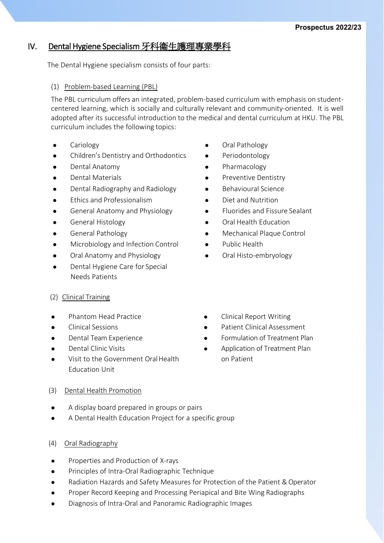# IV. Dental Hygiene Specialism 牙科衞生護理專業學科

The Dental Hygiene specialism consists of four parts:

## (1) Problem-based Learning (PBL)

The PBL curriculum offers an integrated, problem-based curriculum with emphasis on studentcentered learning, which is socially and culturally relevant and community-oriented. It is well adopted after its successful introduction to the medical and dental curriculum at HKU. The PBL curriculum includes the following topics:

- 
- Children's Dentistry and Orthodontics Periodontology
- 
- 
- Dental Radiography and Radiology **Conservation Conservation** Behavioural Science
- Ethics and Professionalism Diet and Nutrition
- 
- 
- 
- Microbiology and Infection Control **CALC VICE And A** Public Health
- Oral Anatomy and Physiology **Canadian Coral Histo-embryology**
- Dental Hygiene Care for Special Needs Patients
- (2) Clinical Training
- 
- 
- **•** Dental Team Experience
- Dental Clinic Visits
- Visit to the Government Oral Health Education Unit
- (3) Dental Health Promotion
- A display board prepared in groups or pairs
- A Dental Health Education Project for a specific group
- (4) Oral Radiography
- Properties and Production of X-rays
- **•** Principles of Intra-Oral Radiographic Technique
- Radiation Hazards and Safety Measures for Protection of the Patient & Operator
- Proper Record Keeping and Processing Periapical and Bite Wing Radiographs
- Diagnosis of Intra-Oral and Panoramic Radiographic Images
- Cariology **Cariology Cariology Cariology** 
	-
- Dental Anatomy **Contact Anatomy Contact Anatomy Pharmacology**
- Dental Materials **Preventive Dentistry CONTENS** 
	-
	-
- General Anatomy and Physiology **Common Sealant Constant**
- General Histology **Construction Construction**
- General Pathology **Mechanical Plaque Control** 
	-
	-
- Phantom Head Practice **Constructs Clinical Report Writing**
- Clinical Sessions Patient Clinical Assessment
	- **•** Formulation of Treatment Plan
	- Application of Treatment Plan on Patient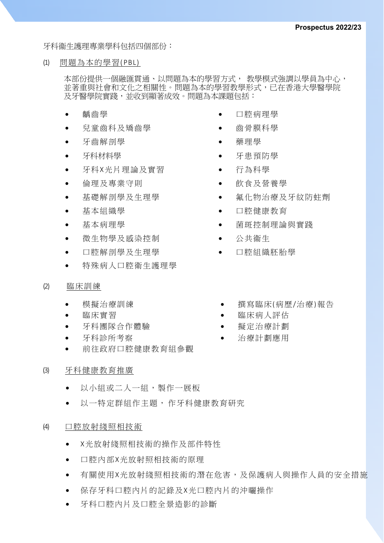牙科衞生護理專業學科包括四個部份:

(1) 問題為本的學習( PBL)

本部份提供一個融匯貫通、以問題為本的學習方式, 教學模式強調以學員為中心, 並著重與社會和文化之相關性。問題為本的學習教學形式,已在香港大學醫學院 及牙醫學院實踐,並收到顯著成效。問題為本課題包括:

- 齲齒學
- 兒童齒科及矯齒學
- 牙齒解剖學
- 牙科材料學
- 牙科X光片理論及實習
- 倫理及專業守則
- 基礎解剖學及生理學
- 基本組織學
- 基本病理學
- 微生物學及感染控制
- 口腔解剖學及生理學
- 特殊病人口腔衛生護理學
- (2) 臨床訓練
	-
	-
	- 牙科圑隊合作體驗 擬定治療計劃
	- 牙科診所考察 • 治療計劃應用
	- 前往政府口腔健康教育組參觀
- (3) 牙科健康教育推廣
	- 以小組或二人一組,製作一展板
	- 以一特定群組作主題, 作牙科健康教育研究

#### (4) 口腔放射綫照相技術

- X光放射綫照相技術的操作及部件特性
- 口腔內部X光放射照相技術的原理
- 有關使用X光放射綫照相技術的潛在危害,及保護病人與操作人員的安全措施
- 保存牙科口腔內片的記錄及X光口腔內片的沖曬操作
- 牙科口腔內片及口腔全景造影的診斷
- 口腔病理學
- 齒骨膜科學
- 藥理學
- 牙患預防學
- 行為科學
- 飲食及營養學
- 氟化物治療及牙紋防蛀劑
- 口腔健康教育
- 菌斑控制理論與實踐
- 公共衞生
- 口腔組織胚胎學
- 模擬治療訓練 • 賽寫臨床(病歷/治療)報告
- 臨床實習 • 臨床病人評估
	-
	-